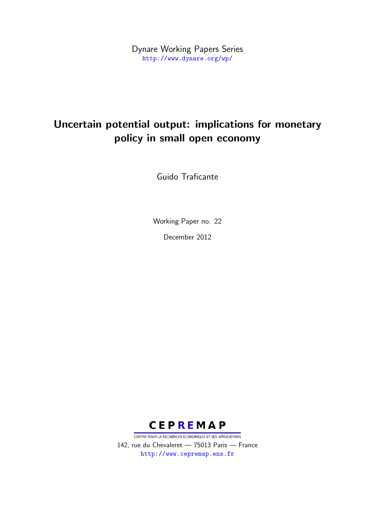Dynare Working Papers Series <http://www.dynare.org/wp/>

# Uncertain potential output: implications for monetary policy in small open economy

Guido Traficante

Working Paper no. 22

December 2012



CENTRE POUR LA RECHERCHE ECONOMIQUE ET SES APPLICATIONS 142, rue du Chevaleret — 75013 Paris — France <http://www.cepremap.ens.fr>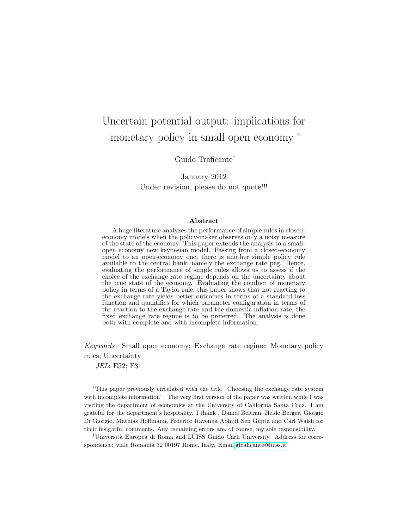# Uncertain potential output: implications for monetary policy in small open economy <sup>∗</sup>

Guido Traficante†

January 2012 Under revision, please do not quote!!!

#### Abstract

A huge literature analyzes the performance of simple rules in closedeconomy models when the policy-maker observes only a noisy measure of the state of the economy. This paper extends the analysis to a smallopen economy new keynesian model. Passing from a closed-economy model to an open-economy one, there is another simple policy rule available to the central bank, namely the exchange rate peg. Hence, evaluating the performance of simple rules allows us to assess if the choice of the exchange rate regime depends on the uncertainty about the true state of the economy. Evaluating the conduct of monetary policy in terms of a Taylor rule, this paper shows that not reacting to the exchange rate yields better outcomes in terms of a standard loss function and quantifies for which parameter configuration in terms of the reaction to the exchange rate and the domestic inflation rate, the fixed exchange rate regime is to be preferred. The analysis is done both with complete and with incomplete information.

Keywords: Small open economy; Exchange rate regime; Monetary policy rules; Uncertainty

JEL: E52; F31

<sup>∗</sup>This paper previously circulated with the title "Choosing the exchange rate system with incomplete information". The very first version of the paper was written while I was visiting the department of economics at the University of California Santa Cruz. I am grateful for the department's hospitality. I thank , Daniel Beltran, Helde Berger, Giorgio Di Giorgio, Mathias Hoffmann, Federico Ravenna Abhijit Sen Gupta and Carl Walsh for their insightful comments. Any remaining errors are, of course, my sole responsibility.

<sup>&</sup>lt;sup>†</sup>Università Europea di Roma and LUISS Guido Carli University. Address for correspondence: viale Romania 32 00197 Rome, Italy. Email[:gtraficante@luiss.it](mailto:gtraficante@luiss.it)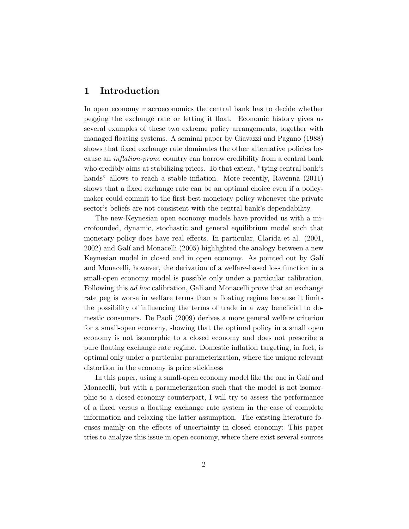### 1 Introduction

In open economy macroeconomics the central bank has to decide whether pegging the exchange rate or letting it float. Economic history gives us several examples of these two extreme policy arrangements, together with managed floating systems. A seminal paper by Giavazzi and Pagano (1988) shows that fixed exchange rate dominates the other alternative policies because an inflation-prone country can borrow credibility from a central bank who credibly aims at stabilizing prices. To that extent, "tying central bank's hands" allows to reach a stable inflation. More recently, Ravenna  $(2011)$ shows that a fixed exchange rate can be an optimal choice even if a policymaker could commit to the first-best monetary policy whenever the private sector's beliefs are not consistent with the central bank's dependability.

The new-Keynesian open economy models have provided us with a microfounded, dynamic, stochastic and general equilibrium model such that monetary policy does have real effects. In particular, Clarida et al. (2001, 2002) and Gal´ı and Monacelli (2005) highlighted the analogy between a new Keynesian model in closed and in open economy. As pointed out by Galí and Monacelli, however, the derivation of a welfare-based loss function in a small-open economy model is possible only under a particular calibration. Following this *ad hoc* calibration, Galí and Monacelli prove that an exchange rate peg is worse in welfare terms than a floating regime because it limits the possibility of influencing the terms of trade in a way beneficial to domestic consumers. De Paoli (2009) derives a more general welfare criterion for a small-open economy, showing that the optimal policy in a small open economy is not isomorphic to a closed economy and does not prescribe a pure floating exchange rate regime. Domestic inflation targeting, in fact, is optimal only under a particular parameterization, where the unique relevant distortion in the economy is price stickiness

In this paper, using a small-open economy model like the one in Galí and Monacelli, but with a parameterization such that the model is not isomorphic to a closed-economy counterpart, I will try to assess the performance of a fixed versus a floating exchange rate system in the case of complete information and relaxing the latter assumption. The existing literature focuses mainly on the effects of uncertainty in closed economy: This paper tries to analyze this issue in open economy, where there exist several sources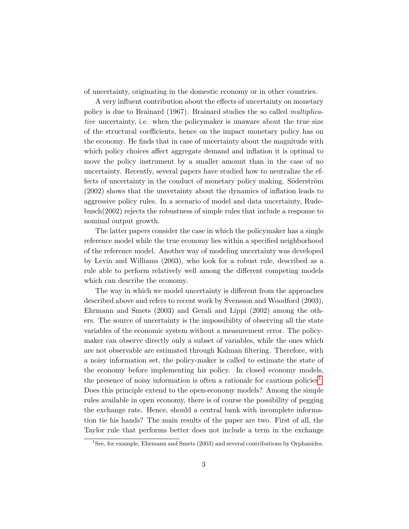of uncertainty, originating in the domestic economy or in other countries.

A very influent contribution about the effects of uncertainty on monetary policy is due to Brainard (1967). Brainard studies the so called multiplicative uncertainty, i.e. when the policymaker is unaware about the true size of the structural coefficients, hence on the impact monetary policy has on the economy. He finds that in case of uncertainty about the magnitude with which policy choices affect aggregate demand and inflation it is optimal to move the policy instrument by a smaller amount than in the case of no uncertainty. Recently, several papers have studied how to neutralize the effects of uncertainty in the conduct of monetary policy making. Söderström (2002) shows that the uncertainty about the dynamics of inflation leads to aggressive policy rules. In a scenario of model and data uncertainty, Rudebusch(2002) rejects the robustness of simple rules that include a response to nominal output growth.

The latter papers consider the case in which the policymaker has a single reference model while the true economy lies within a specified neighborhood of the reference model. Another way of modeling uncertainty was developed by Levin and Williams (2003), who look for a robust rule, described as a rule able to perform relatively well among the different competing models which can describe the economy.

The way in which we model uncertainty is different from the approaches described above and refers to recent work by Svensson and Woodford (2003), Ehrmann and Smets (2003) and Gerali and Lippi (2002) among the others. The source of uncertainty is the impossibility of observing all the state variables of the economic system without a measurement error. The policymaker can observe directly only a subset of variables, while the ones which are not observable are estimated through Kalman filtering. Therefore, with a noisy information set, the policy-maker is called to estimate the state of the economy before implementing his policy. In closed economy models, the presence of noisy information is often a rationale for cautious policies<sup>[1](#page-3-0)</sup>. Does this principle extend to the open-economy models? Among the simple rules available in open economy, there is of course the possibility of pegging the exchange rate. Hence, should a central bank with incomplete information tie his hands? The main results of the paper are two. First of all, the Taylor rule that performs better does not include a term in the exchange

<span id="page-3-0"></span><sup>&</sup>lt;sup>1</sup>See, for example, Ehrmann and Smets (2003) and several contributions by Orphanides.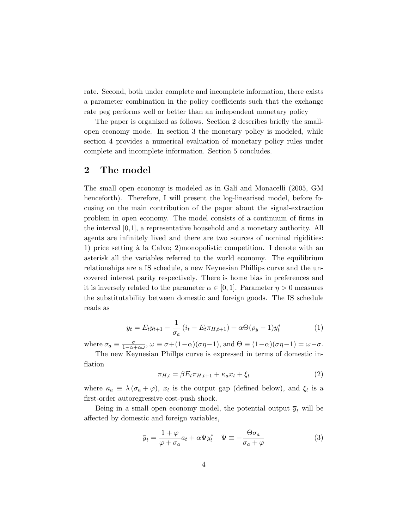rate. Second, both under complete and incomplete information, there exists a parameter combination in the policy coefficients such that the exchange rate peg performs well or better than an independent monetary policy

The paper is organized as follows. Section 2 describes briefly the smallopen economy mode. In section 3 the monetary policy is modeled, while section 4 provides a numerical evaluation of monetary policy rules under complete and incomplete information. Section 5 concludes.

### 2 The model

The small open economy is modeled as in Galí and Monacelli (2005, GM henceforth). Therefore, I will present the log-linearised model, before focusing on the main contribution of the paper about the signal-extraction problem in open economy. The model consists of a continuum of firms in the interval [0,1], a representative household and a monetary authority. All agents are infinitely lived and there are two sources of nominal rigidities: 1) price setting  $\hat{a}$  la Calvo; 2)monopolistic competition. I denote with an asterisk all the variables referred to the world economy. The equilibrium relationships are a IS schedule, a new Keynesian Phillips curve and the uncovered interest parity respectively. There is home bias in preferences and it is inversely related to the parameter  $\alpha \in [0, 1]$ . Parameter  $\eta > 0$  measures the substitutability between domestic and foreign goods. The IS schedule reads as

$$
y_t = E_t y_{t+1} - \frac{1}{\sigma_a} (i_t - E_t \pi_{H,t+1}) + \alpha \Theta(\rho_y - 1) y_t^*
$$
 (1)

<span id="page-4-1"></span>where  $\sigma_a \equiv \frac{\sigma}{1-\alpha+\alpha\omega}$ ,  $\omega \equiv \sigma + (1-\alpha)(\sigma\eta-1)$ , and  $\Theta \equiv (1-\alpha)(\sigma\eta-1) = \omega-\sigma$ .

The new Keynesian Phillps curve is expressed in terms of domestic inflation

<span id="page-4-0"></span>
$$
\pi_{H,t} = \beta E_t \pi_{H,t+1} + \kappa_a x_t + \xi_t \tag{2}
$$

where  $\kappa_a \equiv \lambda (\sigma_a + \varphi)$ ,  $x_t$  is the output gap (defined below), and  $\xi_t$  is a first-order autoregressive cost-push shock.

Being in a small open economy model, the potential output  $\overline{y}_t$  will be affected by domestic and foreign variables,

$$
\overline{y}_t = \frac{1+\varphi}{\varphi+\sigma_a} a_t + \alpha \Psi y_t^* \quad \Psi \equiv -\frac{\Theta \sigma_a}{\sigma_a+\varphi} \tag{3}
$$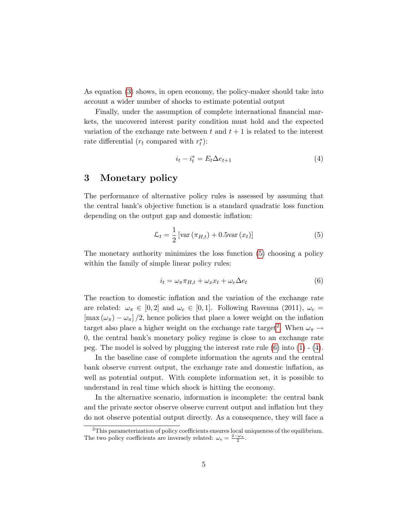As equation [\(3\)](#page-4-0) shows, in open economy, the policy-maker should take into account a wider number of shocks to estimate potential output

Finally, under the assumption of complete international financial markets, the uncovered interest parity condition must hold and the expected variation of the exchange rate between t and  $t + 1$  is related to the interest rate differential  $(r_t \text{ compared with } r_t^*)$ :

<span id="page-5-3"></span><span id="page-5-0"></span>
$$
i_t - i_t^* = E_t \Delta e_{t+1} \tag{4}
$$

#### 3 Monetary policy

The performance of alternative policy rules is assessed by assuming that the central bank's objective function is a standard quadratic loss function depending on the output gap and domestic inflation:

$$
\mathcal{L}_t = \frac{1}{2} \left[ \text{var}\left(\pi_{H,t}\right) + 0.5 \text{var}\left(x_t\right) \right] \tag{5}
$$

The monetary authority minimizes the loss function [\(5\)](#page-5-0) choosing a policy within the family of simple linear policy rules:

<span id="page-5-2"></span>
$$
i_t = \omega_\pi \pi_{H,t} + \omega_x x_t + \omega_e \Delta e_t \tag{6}
$$

The reaction to domestic inflation and the variation of the exchange rate are related:  $\omega_{\pi} \in [0, 2]$  and  $\omega_e \in [0, 1]$ . Following Ravenna (2011),  $\omega_e =$  $[\max(\omega_{\pi}) - \omega_{\pi}]/2$ , hence policies that place a lower weight on the inflation target also place a higher weight on the exchange rate target<sup>[2](#page-5-1)</sup>. When  $\omega_{\pi} \rightarrow$ 0, the central bank's monetary policy regime is close to an exchange rate peg. The model is solved by plugging the interest rate rule  $(6)$  into  $(1)$  -  $(4)$ .

In the baseline case of complete information the agents and the central bank observe current output, the exchange rate and domestic inflation, as well as potential output. With complete information set, it is possible to understand in real time which shock is hitting the economy.

In the alternative scenario, information is incomplete: the central bank and the private sector observe observe current output and inflation but they do not observe potential output directly. As a consequence, they will face a

<span id="page-5-1"></span><sup>&</sup>lt;sup>2</sup>This parameterization of policy coefficients ensures local uniqueness of the equilibrium. The two policy coefficients are inversely related:  $\omega_e = \frac{2-\omega_{\pi}}{2}$ .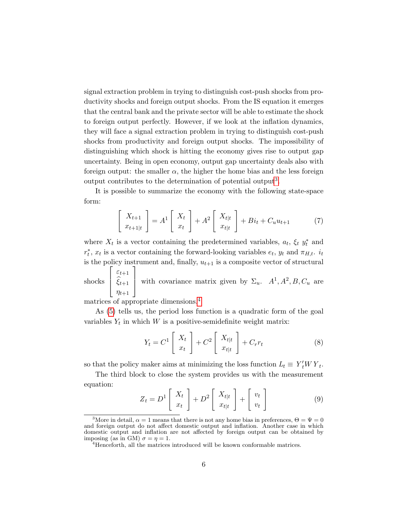signal extraction problem in trying to distinguish cost-push shocks from productivity shocks and foreign output shocks. From the IS equation it emerges that the central bank and the private sector will be able to estimate the shock to foreign output perfectly. However, if we look at the inflation dynamics, they will face a signal extraction problem in trying to distinguish cost-push shocks from productivity and foreign output shocks. The impossibility of distinguishing which shock is hitting the economy gives rise to output gap uncertainty. Being in open economy, output gap uncertainty deals also with foreign output: the smaller  $\alpha$ , the higher the home bias and the less foreign output contributes to the determination of potential output<sup>[3](#page-6-0)</sup>.

It is possible to summarize the economy with the following state-space form:

$$
\begin{bmatrix} X_{t+1} \\ x_{t+1|t} \end{bmatrix} = A^1 \begin{bmatrix} X_t \\ x_t \end{bmatrix} + A^2 \begin{bmatrix} X_{t|t} \\ x_{t|t} \end{bmatrix} + Bi_t + C_u u_{t+1} \tag{7}
$$

where  $X_t$  is a vector containing the predetermined variables,  $a_t$ ,  $\xi_t$ ,  $y_t^*$  and  $r_t^*$ ,  $x_t$  is a vector containing the forward-looking variables  $e_t$ ,  $y_t$  and  $\pi_{H,t}$ .  $i_t$ is the policy instrument and, finally,  $u_{t+1}$  is a composite vector of structural  $\sqrt{ }$  $\varepsilon_{t+1}$ 1

shocks  $\Big\}$  $\xi_{t+1}$  $\eta_{t+1}$ with covariance matrix given by  $\Sigma_u$ .  $A^1, A^2, B, C_u$  are

matrices of appropriate dimensions.[4](#page-6-1)

As [\(5\)](#page-5-0) tells us, the period loss function is a quadratic form of the goal variables  $Y_t$  in which W is a positive-semidefinite weight matrix:

$$
Y_t = C^1 \left[ \begin{array}{c} X_t \\ x_t \end{array} \right] + C^2 \left[ \begin{array}{c} X_{t|t} \\ x_{t|t} \end{array} \right] + C_r r_t \tag{8}
$$

so that the policy maker aims at minimizing the loss function  $L_t \equiv Y_t^t W Y_t$ .

The third block to close the system provides us with the measurement equation:

$$
Z_t = D^1 \left[ \begin{array}{c} X_t \\ x_t \end{array} \right] + D^2 \left[ \begin{array}{c} X_{t|t} \\ x_{t|t} \end{array} \right] + \left[ \begin{array}{c} v_t \\ v_t \end{array} \right] \tag{9}
$$

<span id="page-6-0"></span><sup>&</sup>lt;sup>3</sup>More in detail,  $\alpha = 1$  means that there is not any home bias in preferences,  $\Theta = \Psi = 0$ and foreign output do not affect domestic output and inflation. Another case in which domestic output and inflation are not affected by foreign output can be obtained by imposing (as in GM)  $\sigma = \eta = 1$ .

<span id="page-6-1"></span><sup>&</sup>lt;sup>4</sup>Henceforth, all the matrices introduced will be known conformable matrices.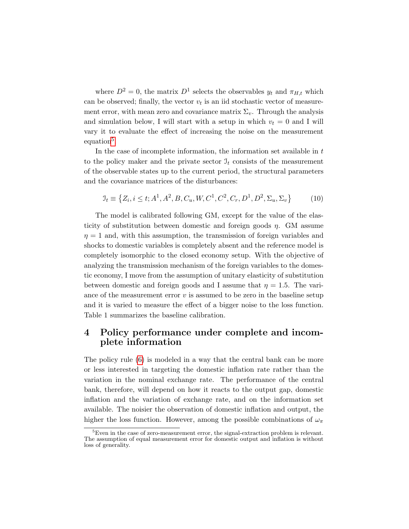where  $D^2 = 0$ , the matrix  $D^1$  selects the observables  $y_t$  and  $\pi_{H,t}$  which can be observed; finally, the vector  $v_t$  is an iid stochastic vector of measurement error, with mean zero and covariance matrix  $\Sigma_v$ . Through the analysis and simulation below, I will start with a setup in which  $v_t = 0$  and I will vary it to evaluate the effect of increasing the noise on the measurement equation<sup>[5](#page-7-0)</sup>.

In the case of incomplete information, the information set available in  $t$ to the policy maker and the private sector  $\mathcal{I}_t$  consists of the measurement of the observable states up to the current period, the structural parameters and the covariance matrices of the disturbances:

$$
\mathcal{I}_t \equiv \left\{ Z_i, i \le t; A^1, A^2, B, C_u, W, C^1, C^2, C_r, D^1, D^2, \Sigma_u, \Sigma_v \right\} \tag{10}
$$

The model is calibrated following GM, except for the value of the elasticity of substitution between domestic and foreign goods  $\eta$ . GM assume  $\eta = 1$  and, with this assumption, the transmission of foreign variables and shocks to domestic variables is completely absent and the reference model is completely isomorphic to the closed economy setup. With the objective of analyzing the transmission mechanism of the foreign variables to the domestic economy, I move from the assumption of unitary elasticity of substitution between domestic and foreign goods and I assume that  $\eta = 1.5$ . The variance of the measurement error  $v$  is assumed to be zero in the baseline setup and it is varied to measure the effect of a bigger noise to the loss function. Table 1 summarizes the baseline calibration.

## 4 Policy performance under complete and incomplete information

The policy rule [\(6\)](#page-5-2) is modeled in a way that the central bank can be more or less interested in targeting the domestic inflation rate rather than the variation in the nominal exchange rate. The performance of the central bank, therefore, will depend on how it reacts to the output gap, domestic inflation and the variation of exchange rate, and on the information set available. The noisier the observation of domestic inflation and output, the higher the loss function. However, among the possible combinations of  $\omega_{\pi}$ 

<span id="page-7-0"></span> ${}^{5}$ Even in the case of zero-measurement error, the signal-extraction problem is relevant. The assumption of equal measurement error for domestic output and inflation is without loss of generality.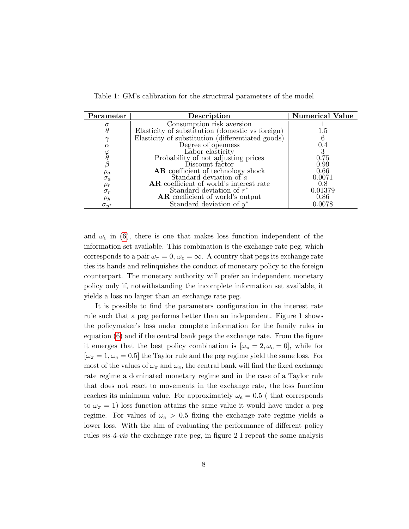| Parameter      | <b>Description</b>                                | Iumerical Value |
|----------------|---------------------------------------------------|-----------------|
|                | Consumption risk aversion                         |                 |
|                | Elasticity of substitution (domestic vs foreign)  | 1.5             |
|                | Elasticity of substitution (differentiated goods) |                 |
| $\alpha$       | Degree of openness                                | 0.4             |
|                | Labor elasticity                                  |                 |
|                | Probability of not adjusting prices               | 0.75            |
|                | Discount factor                                   | 0.99            |
| $\rho_a$       | <b>AR</b> coefficient of technology shock         | 0.66            |
| $\sigma_a$     | Standard deviation of $a$                         | 0.0071          |
| $\rho_{r}$     | AR coefficient of world's interest rate           | 0.8             |
| $\sigma_r$     | Standard deviation of $r^*$                       | 0.01379         |
| $\rho_y$       | <b>AR</b> coefficient of world's output           | 0.86            |
| $\sigma_{y^*}$ | Standard deviation of $y^*$                       | 0.0078          |

Table 1: GM's calibration for the structural parameters of the model

and  $\omega_e$  in [\(6\)](#page-5-2), there is one that makes loss function independent of the information set available. This combination is the exchange rate peg, which corresponds to a pair  $\omega_{\pi} = 0$ ,  $\omega_e = \infty$ . A country that pegs its exchange rate ties its hands and relinquishes the conduct of monetary policy to the foreign counterpart. The monetary authority will prefer an independent monetary policy only if, notwithstanding the incomplete information set available, it yields a loss no larger than an exchange rate peg.

It is possible to find the parameters configuration in the interest rate rule such that a peg performs better than an independent. Figure 1 shows the policymaker's loss under complete information for the family rules in equation [\(6\)](#page-5-2) and if the central bank pegs the exchange rate. From the figure it emerges that the best policy combination is  $[\omega_{\pi} = 2, \omega_e = 0]$ , while for  $[\omega_{\pi} = 1, \omega_e = 0.5]$  the Taylor rule and the peg regime yield the same loss. For most of the values of  $\omega_{\pi}$  and  $\omega_{e}$ , the central bank will find the fixed exchange rate regime a dominated monetary regime and in the case of a Taylor rule that does not react to movements in the exchange rate, the loss function reaches its minimum value. For approximately  $\omega_e = 0.5$  (that corresponds to  $\omega_{\pi} = 1$ ) loss function attains the same value it would have under a peg regime. For values of  $\omega_e > 0.5$  fixing the exchange rate regime yields a lower loss. With the aim of evaluating the performance of different policy rules *vis-à-vis* the exchange rate peg, in figure  $2$  I repeat the same analysis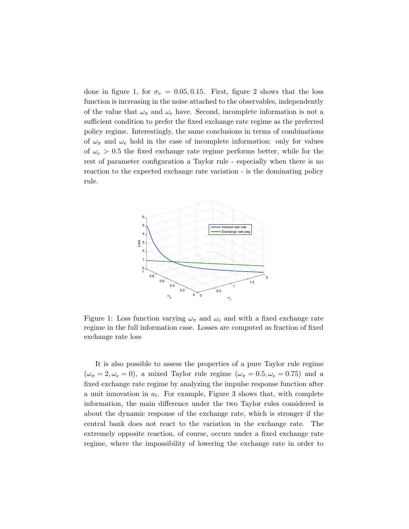done in figure 1, for  $\sigma_v = 0.05, 0.15$ . First, figure 2 shows that the loss function is increasing in the noise attached to the observables, independently of the value that  $\omega_{\pi}$  and  $\omega_e$  have. Second, incomplete information is not a sufficient condition to prefer the fixed exchange rate regime as the preferred policy regime. Interestingly, the same conclusions in terms of combinations of  $\omega_{\pi}$  and  $\omega_e$  hold in the case of incomplete information: only for values of  $\omega_e > 0.5$  the fixed exchange rate regime performs better, while for the rest of parameter configuration a Taylor rule - especially when there is no reaction to the expected exchange rate variation - is the dominating policy rule.



Figure 1: Loss function varying  $\omega_{\pi}$  and  $\omega_e$  and with a fixed exchange rate regime in the full information case. Losses are computed as fraction of fixed exchange rate loss

It is also possible to assess the properties of a pure Taylor rule regime  $(\omega_{\pi} = 2, \omega_e = 0)$ , a mixed Taylor rule regime  $(\omega_{\pi} = 0.5, \omega_e = 0.75)$  and a fixed exchange rate regime by analyzing the impulse response function after a unit innovation in  $a_t$ . For example, Figure 3 shows that, with complete information, the main difference under the two Taylor rules considered is about the dynamic response of the exchange rate, which is stronger if the central bank does not react to the variation in the exchange rate. The extremely opposite reaction, of course, occurs under a fixed exchange rate regime, where the impossibility of lowering the exchange rate in order to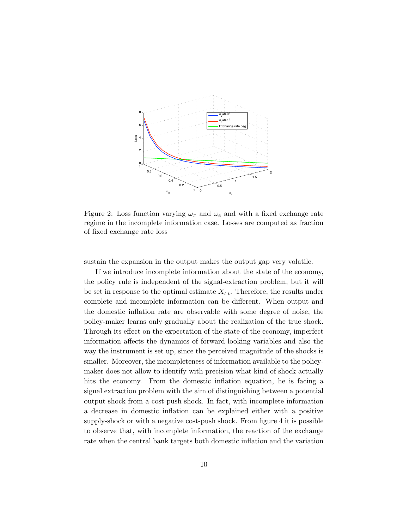

Figure 2: Loss function varying  $\omega_{\pi}$  and  $\omega_e$  and with a fixed exchange rate regime in the incomplete information case. Losses are computed as fraction of fixed exchange rate loss

sustain the expansion in the output makes the output gap very volatile.

If we introduce incomplete information about the state of the economy, the policy rule is independent of the signal-extraction problem, but it will be set in response to the optimal estimate  $X_{t|t}$ . Therefore, the results under complete and incomplete information can be different. When output and the domestic inflation rate are observable with some degree of noise, the policy-maker learns only gradually about the realization of the true shock. Through its effect on the expectation of the state of the economy, imperfect information affects the dynamics of forward-looking variables and also the way the instrument is set up, since the perceived magnitude of the shocks is smaller. Moreover, the incompleteness of information available to the policymaker does not allow to identify with precision what kind of shock actually hits the economy. From the domestic inflation equation, he is facing a signal extraction problem with the aim of distinguishing between a potential output shock from a cost-push shock. In fact, with incomplete information a decrease in domestic inflation can be explained either with a positive supply-shock or with a negative cost-push shock. From figure 4 it is possible to observe that, with incomplete information, the reaction of the exchange rate when the central bank targets both domestic inflation and the variation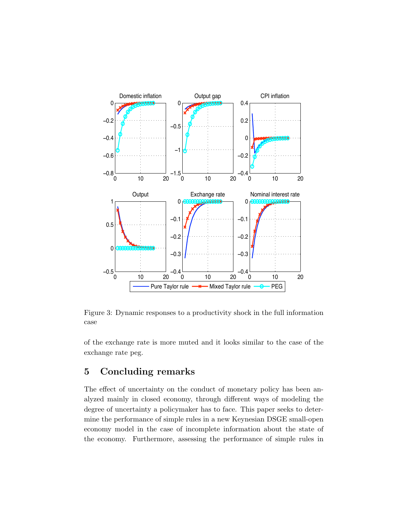

Figure 3: Dynamic responses to a productivity shock in the full information case

of the exchange rate is more muted and it looks similar to the case of the exchange rate peg.

# 5 Concluding remarks

The effect of uncertainty on the conduct of monetary policy has been analyzed mainly in closed economy, through different ways of modeling the degree of uncertainty a policymaker has to face. This paper seeks to determine the performance of simple rules in a new Keynesian DSGE small-open economy model in the case of incomplete information about the state of the economy. Furthermore, assessing the performance of simple rules in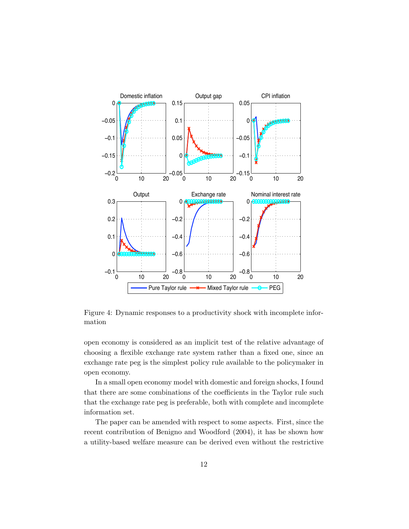

Figure 4: Dynamic responses to a productivity shock with incomplete information

open economy is considered as an implicit test of the relative advantage of choosing a flexible exchange rate system rather than a fixed one, since an exchange rate peg is the simplest policy rule available to the policymaker in open economy.

In a small open economy model with domestic and foreign shocks, I found that there are some combinations of the coefficients in the Taylor rule such that the exchange rate peg is preferable, both with complete and incomplete information set.

The paper can be amended with respect to some aspects. First, since the recent contribution of Benigno and Woodford (2004), it has be shown how a utility-based welfare measure can be derived even without the restrictive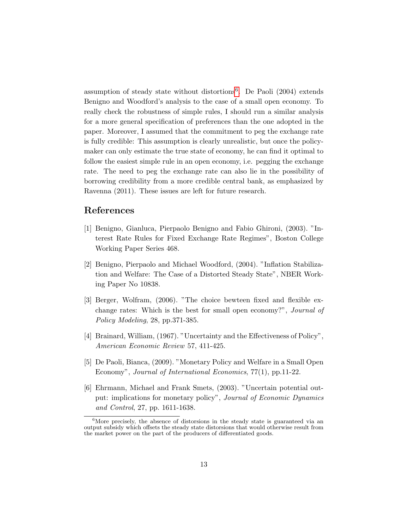assumption of steady state without distortions $6$ . De Paoli  $(2004)$  extends Benigno and Woodford's analysis to the case of a small open economy. To really check the robustness of simple rules, I should run a similar analysis for a more general specification of preferences than the one adopted in the paper. Moreover, I assumed that the commitment to peg the exchange rate is fully credible: This assumption is clearly unrealistic, but once the policymaker can only estimate the true state of economy, he can find it optimal to follow the easiest simple rule in an open economy, i.e. pegging the exchange rate. The need to peg the exchange rate can also lie in the possibility of borrowing credibility from a more credible central bank, as emphasized by Ravenna (2011). These issues are left for future research.

#### References

- [1] Benigno, Gianluca, Pierpaolo Benigno and Fabio Ghironi, (2003). "Interest Rate Rules for Fixed Exchange Rate Regimes", Boston College Working Paper Series 468.
- [2] Benigno, Pierpaolo and Michael Woodford, (2004). "Inflation Stabilization and Welfare: The Case of a Distorted Steady State", NBER Working Paper No 10838.
- [3] Berger, Wolfram, (2006). "The choice bewteen fixed and flexible exchange rates: Which is the best for small open economy?", Journal of Policy Modeling, 28, pp.371-385.
- [4] Brainard, William, (1967). "Uncertainty and the Effectiveness of Policy", American Economic Review 57, 411-425.
- [5] De Paoli, Bianca, (2009). "Monetary Policy and Welfare in a Small Open Economy", Journal of International Economics, 77(1), pp.11-22.
- [6] Ehrmann, Michael and Frank Smets, (2003). "Uncertain potential output: implications for monetary policy", Journal of Economic Dynamics and Control, 27, pp. 1611-1638.

<span id="page-13-0"></span><sup>&</sup>lt;sup>6</sup>More precisely, the absence of distorsions in the steady state is guaranteed via an output subsidy which offsets the steady state distorsions that would otherwise result from the market power on the part of the producers of differentiated goods.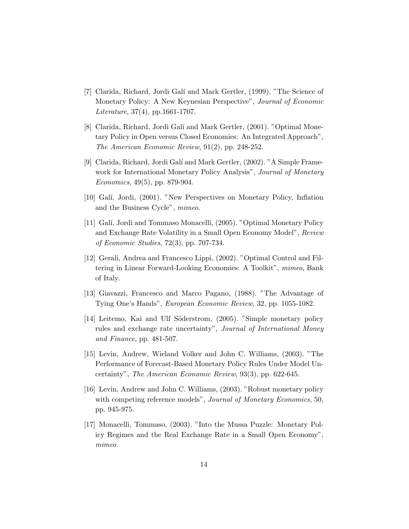- [7] Clarida, Richard, Jordi Galí and Mark Gertler, (1999). "The Science of Monetary Policy: A New Keynesian Perspective", Journal of Economic Literature, 37(4), pp.1661-1707.
- [8] Clarida, Richard, Jordi Galí and Mark Gertler, (2001). "Optimal Monetary Policy in Open versus Closed Economies: An Integrated Approach", The American Economic Review, 91(2), pp. 248-252.
- [9] Clarida, Richard, Jordi Gal´ı and Mark Gertler, (2002). "A Simple Framework for International Monetary Policy Analysis", Journal of Monetary Economics, 49(5), pp. 879-904.
- [10] Galí, Jordi, (2001). "New Perspectives on Monetary Policy, Inflation and the Business Cycle", mimeo.
- [11] Galí, Jordi and Tommaso Monacelli, (2005). "Optimal Monetary Policy and Exchange Rate Volatility in a Small Open Economy Model", Review of Economic Studies, 72(3), pp. 707-734.
- [12] Gerali, Andrea and Francesco Lippi, (2002). "Optimal Control and Filtering in Linear Forward-Looking Economies: A Toolkit", mimeo, Bank of Italy.
- [13] Giavazzi, Francesco and Marco Pagano, (1988). "The Advantage of Tying One's Hands", European Economic Review, 32, pp. 1055-1082.
- [14] Leitemo, Kai and Ulf Söderstrom, (2005). "Simple monetary policy rules and exchange rate uncertainty", Journal of International Money and Finance, pp. 481-507.
- [15] Levin, Andrew, Wieland Volker and John C. Williams, (2003). "The Performance of Forecast-Based Monetary Policy Rules Under Model Uncertainty", The American Economic Review, 93(3), pp. 622-645.
- [16] Levin, Andrew and John C. Williams, (2003). "Robust monetary policy with competing reference models", Journal of Monetary Economics, 50, pp. 945-975.
- [17] Monacelli, Tommaso, (2003). "Into the Mussa Puzzle: Monetary Policy Regimes and the Real Exchange Rate in a Small Open Economy", mimeo.